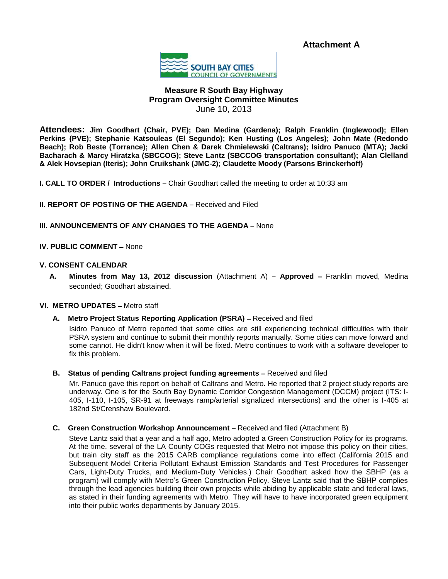**Attachment A**



# **Measure R South Bay Highway Program Oversight Committee Minutes** June 10, 2013

**Attendees: Jim Goodhart (Chair, PVE); Dan Medina (Gardena); Ralph Franklin (Inglewood); Ellen Perkins (PVE); Stephanie Katsouleas (El Segundo); Ken Husting (Los Angeles); John Mate (Redondo Beach); Rob Beste (Torrance); Allen Chen & Darek Chmielewski (Caltrans); Isidro Panuco (MTA); Jacki Bacharach & Marcy Hiratzka (SBCCOG); Steve Lantz (SBCCOG transportation consultant); Alan Clelland & Alek Hovsepian (Iteris); John Cruikshank (JMC-2); Claudette Moody (Parsons Brinckerhoff)**

**I. CALL TO ORDER / Introductions** – Chair Goodhart called the meeting to order at 10:33 am

**II. REPORT OF POSTING OF THE AGENDA** – Received and Filed

## **III. ANNOUNCEMENTS OF ANY CHANGES TO THE AGENDA** – None

## **IV. PUBLIC COMMENT - None**

#### **V. CONSENT CALENDAR**

**A. Minutes from May 13, 2012 discussion** (Attachment A) – **Approved** – Franklin moved, Medina seconded; Goodhart abstained.

#### **VI. METRO UPDATES** – Metro staff

**A. Metro Project Status Reporting Application (PSRA)** – Received and filed

Isidro Panuco of Metro reported that some cities are still experiencing technical difficulties with their PSRA system and continue to submit their monthly reports manually. Some cities can move forward and some cannot. He didn't know when it will be fixed. Metro continues to work with a software developer to fix this problem.

**B. Status of pending Caltrans project funding agreements** – Received and filed

Mr. Panuco gave this report on behalf of Caltrans and Metro. He reported that 2 project study reports are underway. One is for the South Bay Dynamic Corridor Congestion Management (DCCM) project (ITS: I-405, I-110, I-105, SR-91 at freeways ramp/arterial signalized intersections) and the other is I-405 at 182nd St/Crenshaw Boulevard.

**C. Green Construction Workshop Announcement** – Received and filed (Attachment B)

Steve Lantz said that a year and a half ago, Metro adopted a Green Construction Policy for its programs. At the time, several of the LA County COGs requested that Metro not impose this policy on their cities, but train city staff as the 2015 CARB compliance regulations come into effect (California 2015 and Subsequent Model Criteria Pollutant Exhaust Emission Standards and Test Procedures for Passenger Cars, Light-Duty Trucks, and Medium-Duty Vehicles.) Chair Goodhart asked how the SBHP (as a program) will comply with Metro's Green Construction Policy. Steve Lantz said that the SBHP complies through the lead agencies building their own projects while abiding by applicable state and federal laws, as stated in their funding agreements with Metro. They will have to have incorporated green equipment into their public works departments by January 2015.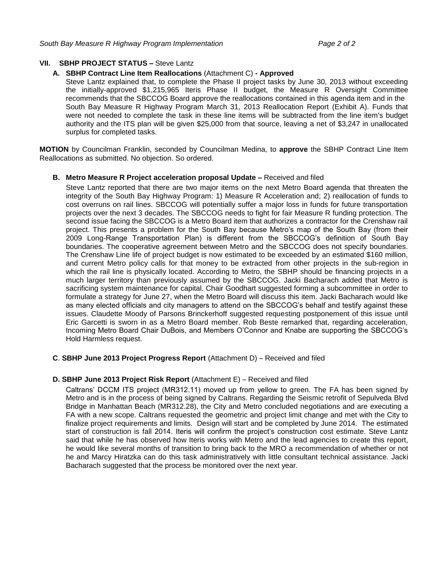## **VII. SBHP PROJECT STATUS – Steve Lantz**

### **A. SBHP Contract Line Item Reallocations** (Attachment C) **- Approved**

Steve Lantz explained that, to complete the Phase II project tasks by June 30, 2013 without exceeding the initially-approved \$1,215,965 Iteris Phase II budget, the Measure R Oversight Committee recommends that the SBCCOG Board approve the reallocations contained in this agenda item and in the South Bay Measure R Highway Program March 31, 2013 Reallocation Report (Exhibit A). Funds that were not needed to complete the task in these line items will be subtracted from the line item's budget authority and the ITS plan will be given \$25,000 from that source, leaving a net of \$3,247 in unallocated surplus for completed tasks.

**MOTION** by Councilman Franklin, seconded by Councilman Medina, to **approve** the SBHP Contract Line Item Reallocations as submitted. No objection. So ordered.

#### **B.** Metro Measure R Project acceleration proposal Update - Received and filed

Steve Lantz reported that there are two major items on the next Metro Board agenda that threaten the integrity of the South Bay Highway Program: 1) Measure R Acceleration and; 2) reallocation of funds to cost overruns on rail lines. SBCCOG will potentially suffer a major loss in funds for future transportation projects over the next 3 decades. The SBCCOG needs to fight for fair Measure R funding protection. The second issue facing the SBCCOG is a Metro Board item that authorizes a contractor for the Crenshaw rail project. This presents a problem for the South Bay because Metro's map of the South Bay (from their 2009 Long-Range Transportation Plan) is different from the SBCCOG's definition of South Bay boundaries. The cooperative agreement between Metro and the SBCCOG does not specify boundaries. The Crenshaw Line life of project budget is now estimated to be exceeded by an estimated \$160 million, and current Metro policy calls for that money to be extracted from other projects in the sub-region in which the rail line is physically located. According to Metro, the SBHP should be financing projects in a much larger territory than previously assumed by the SBCCOG. Jacki Bacharach added that Metro is sacrificing system maintenance for capital. Chair Goodhart suggested forming a subcommittee in order to formulate a strategy for June 27, when the Metro Board will discuss this item. Jacki Bacharach would like as many elected officials and city managers to attend on the SBCCOG's behalf and testify against these issues. Claudette Moody of Parsons Brinckerhoff suggested requesting postponement of this issue until Eric Garcetti is sworn in as a Metro Board member. Rob Beste remarked that, regarding acceleration, Incoming Metro Board Chair DuBois, and Members O'Connor and Knabe are supporting the SBCCOG's Hold Harmless request.

## **C**. **SBHP June 2013 Project Progress Report** (Attachment D) – Received and filed

#### **D. SBHP June 2013 Project Risk Report** (Attachment E) – Received and filed

Caltrans' DCCM ITS project (MR312.11) moved up from yellow to green. The FA has been signed by Metro and is in the process of being signed by Caltrans. Regarding the Seismic retrofit of Sepulveda Blvd Bridge in Manhattan Beach (MR312.28), the City and Metro concluded negotiations and are executing a FA with a new scope. Caltrans requested the geometric and project limit change and met with the City to finalize project requirements and limits. Design will start and be completed by June 2014. The estimated start of construction is fall 2014. Iteris will confirm the project's construction cost estimate. Steve Lantz said that while he has observed how Iteris works with Metro and the lead agencies to create this report, he would like several months of transition to bring back to the MRO a recommendation of whether or not he and Marcy Hiratzka can do this task administratively with little consultant technical assistance. Jacki Bacharach suggested that the process be monitored over the next year.